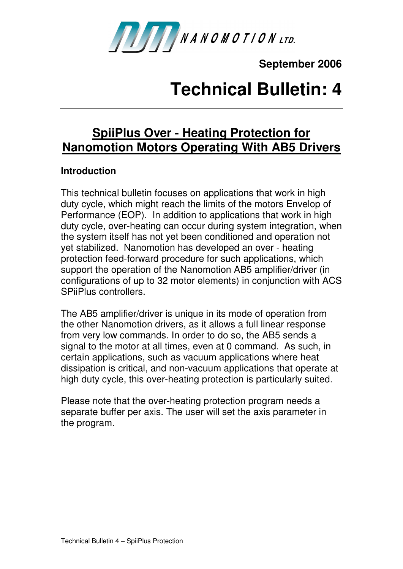

**September 2006** 

## **Technical Bulletin: 4**

## **SpiiPlus Over - Heating Protection for Nanomotion Motors Operating With AB5 Drivers**

## **Introduction**

This technical bulletin focuses on applications that work in high duty cycle, which might reach the limits of the motors Envelop of Performance (EOP). In addition to applications that work in high duty cycle, over-heating can occur during system integration, when the system itself has not yet been conditioned and operation not yet stabilized. Nanomotion has developed an over - heating protection feed-forward procedure for such applications, which support the operation of the Nanomotion AB5 amplifier/driver (in configurations of up to 32 motor elements) in conjunction with ACS SPiiPlus controllers.

The AB5 amplifier/driver is unique in its mode of operation from the other Nanomotion drivers, as it allows a full linear response from very low commands. In order to do so, the AB5 sends a signal to the motor at all times, even at 0 command. As such, in certain applications, such as vacuum applications where heat dissipation is critical, and non-vacuum applications that operate at high duty cycle, this over-heating protection is particularly suited.

Please note that the over-heating protection program needs a separate buffer per axis. The user will set the axis parameter in the program.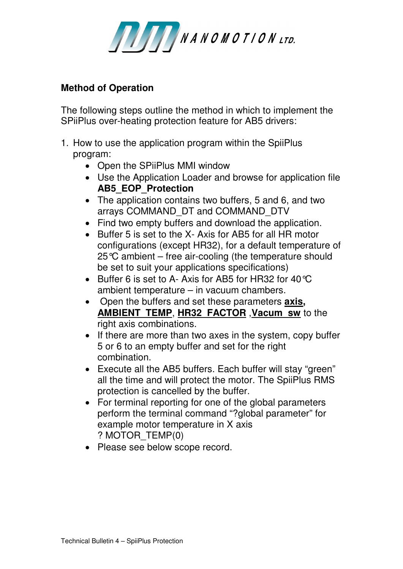

## **Method of Operation**

The following steps outline the method in which to implement the SPiiPlus over-heating protection feature for AB5 drivers:

- 1. How to use the application program within the SpiiPlus program:
	- Open the SPiiPlus MMI window
	- Use the Application Loader and browse for application file **AB5\_EOP\_Protection**
	- The application contains two buffers, 5 and 6, and two arrays COMMAND\_DT and COMMAND\_DTV
	- Find two empty buffers and download the application.
	- Buffer 5 is set to the X- Axis for AB5 for all HR motor configurations (except HR32), for a default temperature of 25°C ambient – free air-cooling (the temperature should be set to suit your applications specifications)
	- Buffer 6 is set to A- Axis for AB5 for HR32 for 40°C ambient temperature – in vacuum chambers.
	- Open the buffers and set these parameters **axis, AMBIENT\_TEMP**, **HR32\_FACTOR** ,**Vacum\_sw** to the right axis combinations.
	- If there are more than two axes in the system, copy buffer 5 or 6 to an empty buffer and set for the right combination.
	- Execute all the AB5 buffers. Each buffer will stay "green" all the time and will protect the motor. The SpiiPlus RMS protection is cancelled by the buffer.
	- For terminal reporting for one of the global parameters perform the terminal command "?global parameter" for example motor temperature in X axis ? MOTOR\_TEMP(0)
	- Please see below scope record.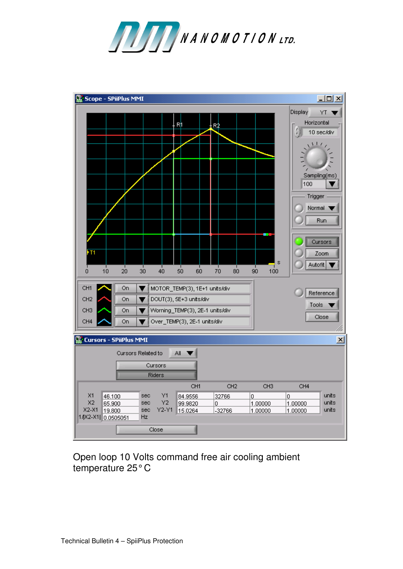



Open loop 10 Volts command free air cooling ambient temperature 25° C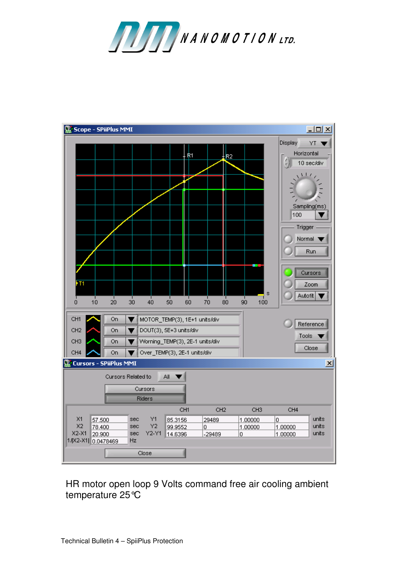



HR motor open loop 9 Volts command free air cooling ambient temperature 25°C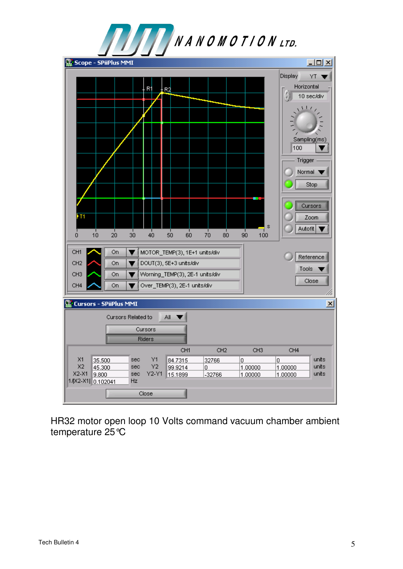

HR32 motor open loop 10 Volts command vacuum chamber ambient temperature 25°C